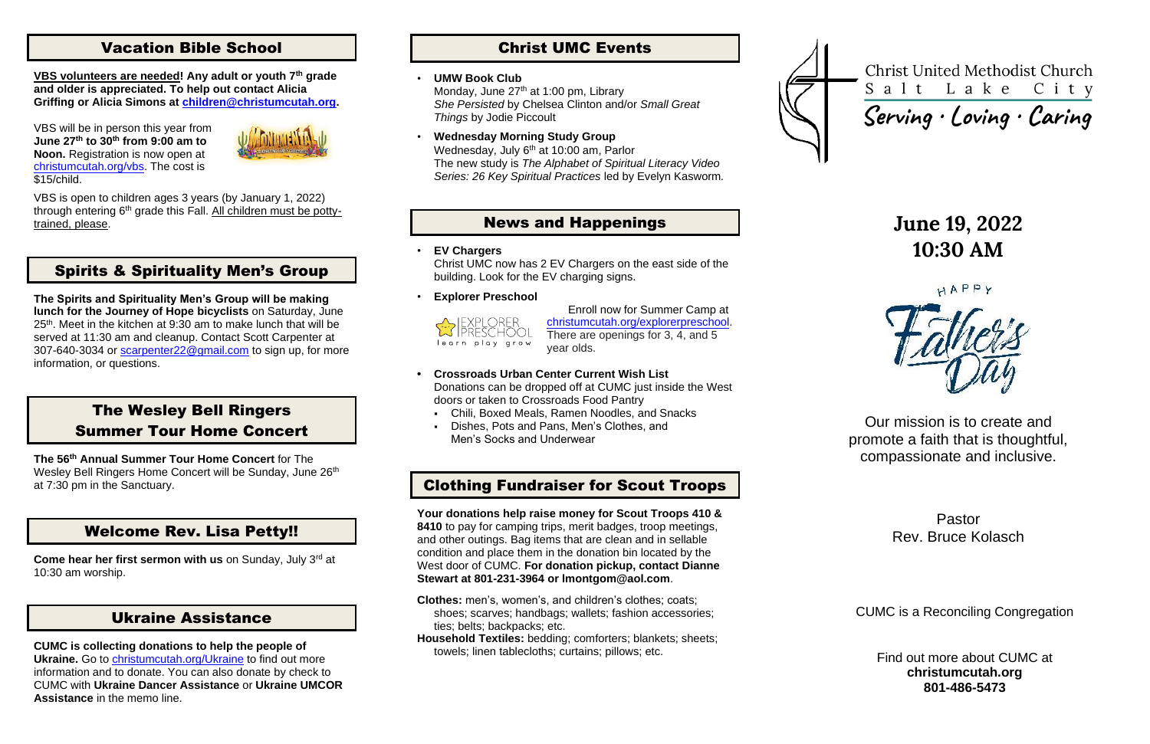## Vacation Bible School

**VBS volunteers are needed! Any adult or youth 7th grade and older is appreciated. To help out contact Alicia Griffing or Alicia Simons at [children@christumcutah.org.](mailto:children@christumcutah.org)**

VBS will be in person this year from **June 27th to 30th from 9:00 am to Noon.** Registration is now open at [christumcutah.org/vbs.](http://www.christumcutah.org/vbs) The cost is \$15/child.



VBS is open to children ages 3 years (by January 1, 2022) through entering  $6<sup>th</sup>$  grade this Fall. All children must be pottytrained, please.

## Spirits & Spirituality Men's Group

**Come hear her first sermon with us** on Sunday, July 3<sup>rd</sup> at 10:30 am worship.

**The Spirits and Spirituality Men's Group will be making lunch for the Journey of Hope bicyclists** on Saturday, June 25<sup>th</sup>. Meet in the kitchen at 9:30 am to make lunch that will be served at 11:30 am and cleanup. Contact Scott Carpenter at 307-640-3034 or [scarpenter22@gmail.com](mailto:scarpenter22@gmail.com) to sign up, for more information, or questions.

Monday, June 27<sup>th</sup> at 1:00 pm, Library *She Persisted* by Chelsea Clinton and/or *Small Great Things* by Jodie Piccoult

## The Wesley Bell Ringers Summer Tour Home Concert

**The 56th Annual Summer Tour Home Concert** for The Wesley Bell Ringers Home Concert will be Sunday, June 26<sup>th</sup> at 7:30 pm in the Sanctuary.

## Welcome Rev. Lisa Petty!!

### Ukraine Assistance

**CUMC is collecting donations to help the people of Ukraine.** Go to [christumcutah.org/Ukraine](http://www.christumcutah.org/Ukraine) to find out more information and to donate. You can also donate by check to CUMC with **Ukraine Dancer Assistance** or **Ukraine UMCOR Assistance** in the memo line.

## Christ UMC Events

#### • **UMW Book Club**

• **Wednesday Morning Study Group** Wednesday, July 6<sup>th</sup> at 10:00 am, Parlor The new study is *The Alphabet of Spiritual Literacy Video Series: 26 Key Spiritual Practices* led by Evelyn Kasworm*.*

### News and Happenings

• **EV Chargers**

Christ UMC now has 2 EV Chargers on the east side of the building. Look for the EV charging signs.

• **Explorer Preschool**



Enroll now for Summer Camp at ch[ristumcutah.org/explorerpreschool.](file://///CUMC-DC01/data/CUMCData/CommonFolder/Bulletins/2022%20Bulletins/01%20January/christumcutah.org/discoveryplacepreschool) There are openings for 3, 4, and 5 year olds.

- **• Crossroads Urban Center Current Wish List** Donations can be dropped off at CUMC just inside the West doors or taken to Crossroads Food Pantry
	- Chili, Boxed Meals, Ramen Noodles, and Snacks
	- Dishes, Pots and Pans, Men's Clothes, and Men's Socks and Underwear

## Clothing Fundraiser for Scout Troops

**Your donations help raise money for Scout Troops 410 & 8410** to pay for camping trips, merit badges, troop meetings, and other outings. Bag items that are clean and in sellable condition and place them in the donation bin located by the West door of CUMC. **For donation pickup, contact Dianne Stewart at 801-231-3964 or lmontgom@aol.com**.

- **Clothes:** men's, women's, and children's clothes; coats; shoes; scarves; handbags; wallets; fashion accessories; ties; belts; backpacks; etc.
- **Household Textiles:** bedding; comforters; blankets; sheets; towels; linen tablecloths; curtains; pillows; etc.



Christ United Methodist Church Salt Lake City

# Serving · Loving · Caring

## **June 19, 2022 10:30 AM**

HAPPY



Our mission is to create and promote a faith that is thoughtful, compassionate and inclusive.

> Pastor Rev. Bruce Kolasch

CUMC is a Reconciling Congregation

Find out more about CUMC at **christumcutah.org 801-486-5473**